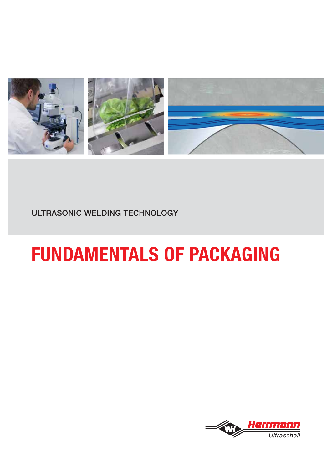

ULTRASONIC WELDING TECHNOLOGY

# **FUNDAMENTALS OF PACKAGING**

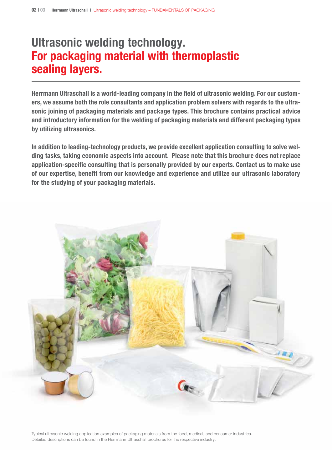# **Ultrasonic welding technology. For packaging material with thermoplastic sealing layers.**

**Herrmann Ultraschall is a world-leading company in the field of ultrasonic welding. For our customers, we assume both the role consultants and application problem solvers with regards to the ultrasonic joining of packaging materials and package types. This brochure contains practical advice and introductory information for the welding of packaging materials and different packaging types by utilizing ultrasonics.**

**In addition to leading-technology products, we provide excellent application consulting to solve welding tasks, taking economic aspects into account. Please note that this brochure does not replace application-specific consulting that is personally provided by our experts. Contact us to make use of our expertise, benefit from our knowledge and experience and utilize our ultrasonic laboratory for the studying of your packaging materials.**



Typical ultrasonic welding application examples of packaging materials from the food, medical, and consumer industries. Detailed descriptions can be found in the Herrmann Ultraschall brochures for the respective industry.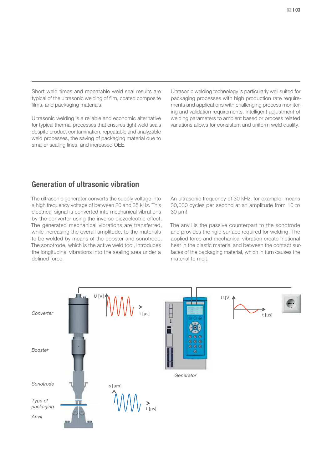Short weld times and repeatable weld seal results are typical of the ultrasonic welding of film, coated composite films, and packaging materials.

Ultrasonic welding is a reliable and economic alternative for typical thermal processes that ensures tight weld seals despite product contamination, repeatable and analyzable weld processes, the saving of packaging material due to smaller sealing lines, and increased OEE.

Ultrasonic welding technology is particularly well suited for packaging processes with high production rate requirements and applications with challenging process monitoring and validation requirements. Intelligent adjustment of welding parameters to ambient based or process related variations allows for consistent and uniform weld quality.

## **Generation of ultrasonic vibration**

The ultrasonic generator converts the supply voltage into a high frequency voltage of between 20 and 35 kHz. This electrical signal is converted into mechanical vibrations by the converter using the inverse piezoelectric effect. The generated mechanical vibrations are transferred, while increasing the overall amplitude, to the materials to be welded by means of the booster and sonotrode. The sonotrode, which is the active weld tool, introduces the longitudinal vibrations into the sealing area under a defined force.

An ultrasonic frequency of 30 kHz, for example, means 30,000 cycles per second at an amplitude from 10 to 30 μm!

The anvil is the passive counterpart to the sonotrode and provides the rigid surface required for welding. The applied force and mechanical vibration create frictional heat in the plastic material and between the contact surfaces of the packaging material, which in turn causes the material to melt.

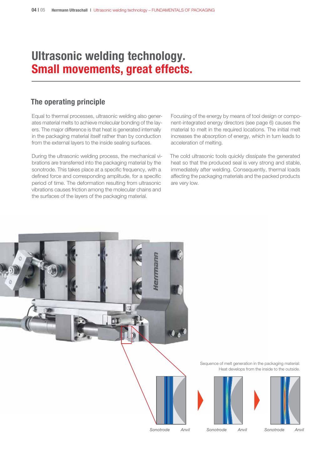# **Ultrasonic welding technology. Small movements, great effects.**

### **The operating principle**

Equal to thermal processes, ultrasonic welding also generates material melts to achieve molecular bonding of the layers. The major difference is that heat is generated internally in the packaging material itself rather than by conduction from the external layers to the inside sealing surfaces.

During the ultrasonic welding process, the mechanical vibrations are transferred into the packaging material by the sonotrode. This takes place at a specific frequency, with a defined force and corresponding amplitude, for a specific period of time. The deformation resulting from ultrasonic vibrations causes friction among the molecular chains and the surfaces of the layers of the packaging material.

Focusing of the energy by means of tool design or component-integrated energy directors (see page 6) causes the material to melt in the required locations. The initial melt increases the absorption of energy, which in turn leads to acceleration of melting.

The cold ultrasonic tools quickly dissipate the generated heat so that the produced seal is very strong and stable, immediately after welding. Consequently, thermal loads affecting the packaging materials and the packed products are very low.



Sequence of melt generation in the packaging material: Heat develops from the inside to the outside.



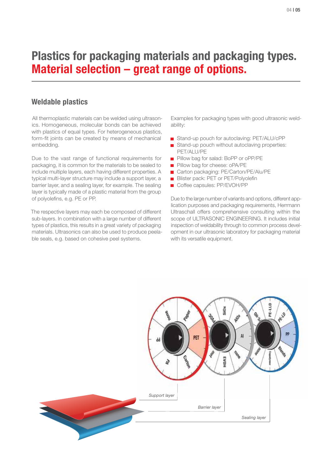# **Plastics for packaging materials and packaging types. Material selection – great range of options.**

### **Weldable plastics**

 All thermoplastic materials can be welded using ultrasonics. Homogeneous, molecular bonds can be achieved with plastics of equal types. For heterogeneous plastics, form-fit joints can be created by means of mechanical embedding.

Due to the vast range of functional requirements for packaging, it is common for the materials to be sealed to include multiple layers, each having different properties. A typical multi-layer structure may include a support layer, a barrier layer, and a sealing layer, for example. The sealing layer is typically made of a plastic material from the group of polyolefins, e.g. PE or PP.

The respective layers may each be composed of different sub-layers. In combination with a large number of different types of plastics, this results in a great variety of packaging materials. Ultrasonics can also be used to produce peelable seals, e.g. based on cohesive peel systems.

Examples for packaging types with good ultrasonic weldability:

- Stand-up pouch for autoclaving: PET/ALU/cPP
- Stand-up pouch without autoclaving properties: PET/ALU/PE
- **Pillow bag for salad: BoPP or oPP/PE**
- **Pillow bag for cheese: oPA/PE**
- Carton packaging: PE/Carton/PE/Alu/PE
- **Blister pack: PET or PET/Polyolefin**
- Coffee capsules: PP/EVOH/PP

Due to the large number of variants and options, different application purposes and packaging requirements, Herrmann Ultraschall offers comprehensive consulting within the scope of ULTRASONIC ENGINEERING. It includes initial inspection of weldability through to common process development in our ultrasonic laboratory for packaging material with its versatile equipment.

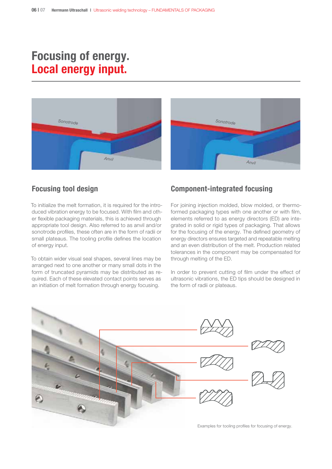# **Focusing of energy. Local energy input.**





## **Focusing tool design**

To initialize the melt formation, it is required for the introduced vibration energy to be focused. With film and other flexible packaging materials, this is achieved through appropriate tool design. Also referred to as anvil and/or sonotrode profiles, these often are in the form of radii or small plateaus. The tooling profile defines the location of energy input.

To obtain wider visual seal shapes, several lines may be arranged next to one another or many small dots in the form of truncated pyramids may be distributed as required. Each of these elevated contact points serves as an initiation of melt formation through energy focusing.

## **Component-integrated focusing**

For joining injection molded, blow molded, or thermoformed packaging types with one another or with film, elements referred to as energy directors (ED) are integrated in solid or rigid types of packaging. That allows for the focusing of the energy. The defined geometry of energy directors ensures targeted and repeatable melting and an even distribution of the melt. Production related tolerances in the component may be compensated for through melting of the ED.

In order to prevent cutting of film under the effect of ultrasonic vibrations, the ED tips should be designed in the form of radii or plateaus.

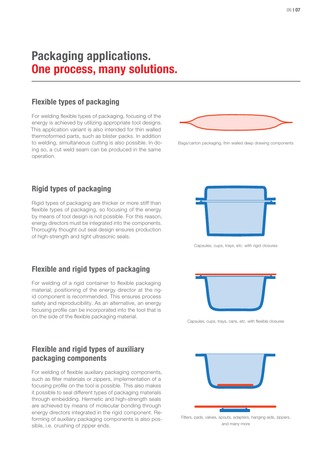# **Packaging applications. One process, many solutions.**

# **Flexible types of packaging**

For welding flexible types of packaging, focusing of the energy is achieved by utilizing appropriate tool designs. This application variant is also intended for thin walled thermoformed parts, such as blister packs. In addition to welding, simultaneous cutting is also possible. In doing so, a cut weld seam can be produced in the same operation.



Bags/carton packaging, thin walled deep drawing components

## **Rigid types of packaging**

Rigid types of packaging are thicker or more stiff than flexible types of packaging, so focusing of the energy by means of tool design is not possible. For this reason, energy directors must be integrated into the components. Thoroughly thought out seal design ensures production of high-strength and tight ultrasonic seals.



For welding of a rigid container to flexible packaging material, positioning of the energy director at the rigid component is recommended. This ensures process safety and reproducibility. As an alternative, an energy focusing profile can be incorporated into the tool that is on the side of the flexible packaging material.

# **Flexible and rigid types of auxiliary packaging components**

For welding of flexible auxiliary packaging components, such as filter materials or zippers, implementation of a focusing profile on the tool is possible. This also makes it possible to seal different types of packaging materials through embedding. Hermetic and high-strength seals are achieved by means of molecular bonding through energy directors integrated in the rigid component. Reforming of auxiliary packaging components is also possible, i.e. crushing of zipper ends.



Capsules, cups, trays, etc. with rigid closures



Capsules, cups, trays, cans, etc. with flexible closures



Filters, pads, valves, spouts, adapters, hanging aids, zippers, and many more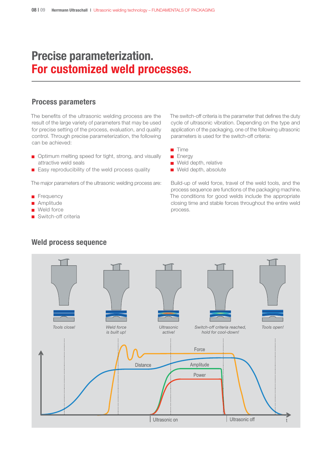# **Precise parameterization. For customized weld processes.**

### **Process parameters**

The benefits of the ultrasonic welding process are the result of the large variety of parameters that may be used for precise setting of the process, evaluation, and quality control. Through precise parameterization, the following can be achieved:

- Optimum melting speed for tight, strong, and visually attractive weld seals
- Easy reproducibility of the weld process quality

The major parameters of the ultrasonic welding process are:

- **Frequency**
- **Amplitude**
- Weld force
- Switch-off criteria

application of the packaging, one of the following ultrasonic parameters is used for the switch-off criteria: **Time** 

The switch-off criteria is the parameter that defines the duty cycle of ultrasonic vibration. Depending on the type and

- **Energy**
- Weld depth, relative
- Weld depth, absolute

Build-up of weld force, travel of the weld tools, and the process sequence are functions of the packaging machine. The conditions for good welds include the appropriate closing time and stable forces throughout the entire weld process.



### **Weld process sequence**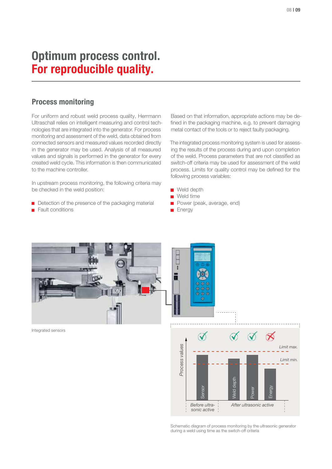# **Optimum process control. For reproducible quality.**

### **Process monitoring**

For uniform and robust weld process quality, Herrmann Ultraschall relies on intelligent measuring and control technologies that are integrated into the generator. For process monitoring and assessment of the weld, data obtained from connected sensors and measured values recorded directly in the generator may be used. Analysis of all measured values and signals is performed in the generator for every created weld cycle. This information is then communicated to the machine controller.

In upstream process monitoring, the following criteria may be checked in the weld position:

- Detection of the presence of the packaging material
- **Fault conditions**

Based on that information, appropriate actions may be defined in the packaging machine, e.g. to prevent damaging metal contact of the tools or to reject faulty packaging.

The integrated process monitoring system is used for assessing the results of the process during and upon completion of the weld. Process parameters that are not classified as switch-off criteria may be used for assessment of the weld process. Limits for quality control may be defined for the following process variables:

- **Neld depth**
- Weld time
- Power (peak, average, end)
- **Energy**



Integrated sensors



Schematic diagram of process monitoring by the ultrasonic generator during a weld using time as the switch-off criteria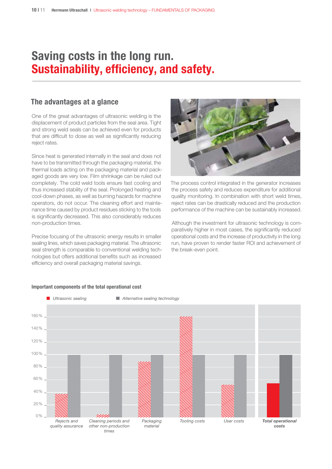# **Saving costs in the long run. Sustainability, efficiency, and safety.**

### **The advantages at a glance**

One of the great advantages of ultrasonic welding is the displacement of product particles from the seal area. Tight and strong weld seals can be achieved even for products that are difficult to dose as well as significantly reducing reject rates.

Since heat is generated internally in the seal and does not have to be transmitted through the packaging material, the thermal loads acting on the packaging material and packaged goods are very low. Film shrinkage can be ruled out completely. The cold weld tools ensure fast cooling and thus increased stability of the seal. Prolonged heating and cool-down phases, as well as burning hazards for machine operators, do not occur. The cleaning effort and maintenance time caused by product residues sticking to the tools is significantly decreased. This also considerably reduces non-production times.

Precise focusing of the ultrasonic energy results in smaller sealing lines, which saves packaging material. The ultrasonic seal strength is comparable to conventional welding technologies but offers additional benefits such as increased efficiency and overall packaging material savings.



The process control integrated in the generator increases the process safety and reduces expenditure for additional quality monitoring. In combination with short weld times, reject rates can be drastically reduced and the production performance of the machine can be sustainably increased.

 Although the investment for ultrasonic technology is comparatively higher in most cases, the significantly reduced operational costs and the increase of productivity in the long run, have proven to render faster ROI and achievement of the break-even point.



#### **Important components of the total operational cost**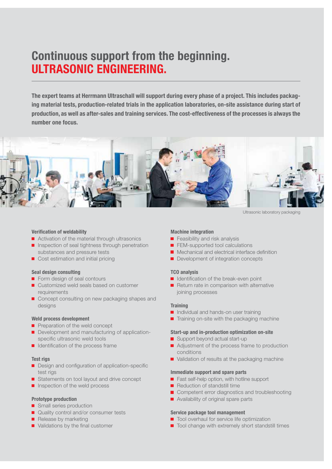# **Continuous support from the beginning. ULTRASONIC ENGINEERING.**

The expert teams at Herrmann Ultraschall will support during every phase of a project. This includes packag**ing material tests, production-related trials in the application laboratories, on-site assistance during start of production, as well as after-sales and training services. The cost-effectiveness of the processes is always the number one focus.**



Ultrasonic laboratory packaging

#### **Verification of weldability**

- Activation of the material through ultrasonics
- $\blacksquare$  Inspection of seal tightness through penetration substances and pressure tests
- Cost estimation and initial pricing

#### **Seal design consulting**

- Form design of seal contours
- Customized weld seals based on customer requirements
- Concept consulting on new packaging shapes and designs

#### **Weld process development**

- Preparation of the weld concept
- Development and manufacturing of applicationspecific ultrasonic weld tools
- I Identification of the process frame

#### **Test rigs**

- Design and configuration of application-specific test rigs
- Statements on tool layout and drive concept
- **Inspection of the weld process**

#### **Prototype production**

- Small series production
- Quality control and/or consumer tests
- $\blacksquare$  Release by marketing
- Validations by the final customer

#### **Machine integration**

- Feasibility and risk analysis
- **FEM-supported tool calculations**
- **Mechanical and electrical interface definition**
- Development of integration concepts

#### **TCO analysis**

- I Identification of the break-even point
- $\blacksquare$  Return rate in comparison with alternative joining processes

#### **Training**

- Individual and hands-on user training
- $\blacksquare$  Training on-site with the packaging machine

#### **Start-up and in-production optimization on-site**

- Support beyond actual start-up
- Adjustment of the process frame to production conditions
- Validation of results at the packaging machine

#### **Immediate support and spare parts**

- **Fast self-help option, with hotline support**
- $\blacksquare$  Reduction of standstill time
- Competent error diagnostics and troubleshooting
- Availability of original spare parts

#### **Service package tool management**

- Tool overhaul for service life optimization
- $\blacksquare$  Tool change with extremely short standstill times